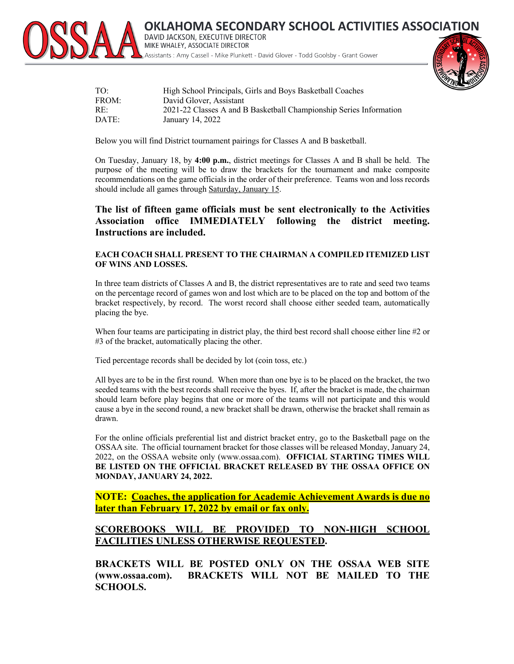

**AHOMA SECONDARY SCHOOL ACTIVITIES ASSOCIATION** DAVID JACKSON, EXECUTIVE DIRECTOR MIKE WHALEY, ASSOCIATE DIRECTOR Assistants: Amy Cassell - Mike Plunkett - David Glover - Todd Goolsby - Grant Gower

| TO:   | High School Principals, Girls and Boys Basketball Coaches          |
|-------|--------------------------------------------------------------------|
| FROM: | David Glover, Assistant                                            |
| RE:   | 2021-22 Classes A and B Basketball Championship Series Information |
| DATE: | January 14, 2022                                                   |

Below you will find District tournament pairings for Classes A and B basketball.

On Tuesday, January 18, by **4:00 p.m.**, district meetings for Classes A and B shall be held. The purpose of the meeting will be to draw the brackets for the tournament and make composite recommendations on the game officials in the order of their preference. Teams won and loss records should include all games through Saturday, January 15.

**The list of fifteen game officials must be sent electronically to the Activities Association office IMMEDIATELY following the district meeting. Instructions are included.**

## **EACH COACH SHALL PRESENT TO THE CHAIRMAN A COMPILED ITEMIZED LIST OF WINS AND LOSSES.**

In three team districts of Classes A and B, the district representatives are to rate and seed two teams on the percentage record of games won and lost which are to be placed on the top and bottom of the bracket respectively, by record. The worst record shall choose either seeded team, automatically placing the bye.

When four teams are participating in district play, the third best record shall choose either line #2 or #3 of the bracket, automatically placing the other.

Tied percentage records shall be decided by lot (coin toss, etc.)

All byes are to be in the first round. When more than one bye is to be placed on the bracket, the two seeded teams with the best records shall receive the byes. If, after the bracket is made, the chairman should learn before play begins that one or more of the teams will not participate and this would cause a bye in the second round, a new bracket shall be drawn, otherwise the bracket shall remain as drawn.

For the online officials preferential list and district bracket entry, go to the Basketball page on the OSSAA site. The official tournament bracket for those classes will be released Monday, January 24, 2022, on the OSSAA website only (www.ossaa.com). **OFFICIAL STARTING TIMES WILL BE LISTED ON THE OFFICIAL BRACKET RELEASED BY THE OSSAA OFFICE ON MONDAY, JANUARY 24, 2022.**

**NOTE: Coaches, the application for Academic Achievement Awards is due no later than February 17, 2022 by email or fax only.**

## **SCOREBOOKS WILL BE PROVIDED TO NON-HIGH SCHOOL FACILITIES UNLESS OTHERWISE REQUESTED.**

**BRACKETS WILL BE POSTED ONLY ON THE OSSAA WEB SITE (www.ossaa.com). BRACKETS WILL NOT BE MAILED TO THE SCHOOLS.**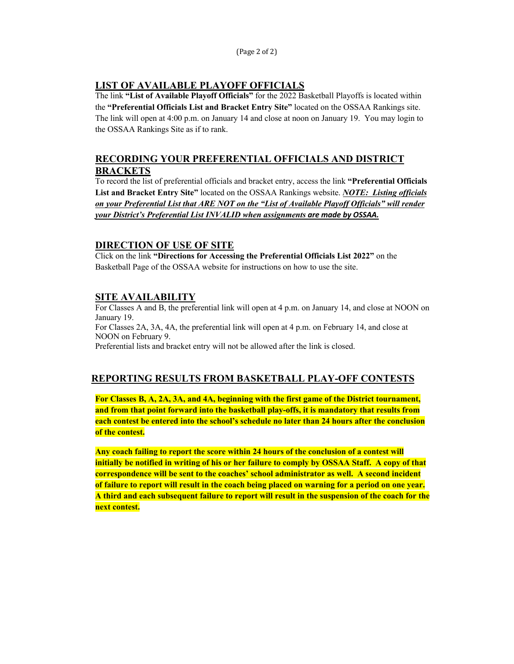(Page 2 of 2)

# **LIST OF AVAILABLE PLAYOFF OFFICIALS**

The link **"List of Available Playoff Officials"** for the 2022 Basketball Playoffs is located within the **"Preferential Officials List and Bracket Entry Site"** located on the OSSAA Rankings site. The link will open at 4:00 p.m. on January 14 and close at noon on January 19. You may login to the OSSAA Rankings Site as if to rank.

# **RECORDING YOUR PREFERENTIAL OFFICIALS AND DISTRICT BRACKETS**

To record the list of preferential officials and bracket entry, access the link **"Preferential Officials List and Bracket Entry Site"** located on the OSSAA Rankings website. *NOTE: Listing officials on your Preferential List that ARE NOT on the "List of Available Playoff Officials" will render your District's Preferential List INVALID when assignments are made by OSSAA.*

# **DIRECTION OF USE OF SITE**

Click on the link **"Directions for Accessing the Preferential Officials List 2022"** on the Basketball Page of the OSSAA website for instructions on how to use the site.

# **SITE AVAILABILITY**

For Classes A and B, the preferential link will open at 4 p.m. on January 14, and close at NOON on January 19. For Classes 2A, 3A, 4A, the preferential link will open at 4 p.m. on February 14, and close at NOON on February 9. Preferential lists and bracket entry will not be allowed after the link is closed.

# **REPORTING RESULTS FROM BASKETBALL PLAY-OFF CONTESTS**

**For Classes B, A, 2A, 3A, and 4A, beginning with the first game of the District tournament, and from that point forward into the basketball play-offs, it is mandatory that results from each contest be entered into the school's schedule no later than 24 hours after the conclusion of the contest.**

**Any coach failing to report the score within 24 hours of the conclusion of a contest will initially be notified in writing of his or her failure to comply by OSSAA Staff. A copy of that correspondence will be sent to the coaches' school administrator as well. A second incident of failure to report will result in the coach being placed on warning for a period on one year. A third and each subsequent failure to report will result in the suspension of the coach for the next contest.**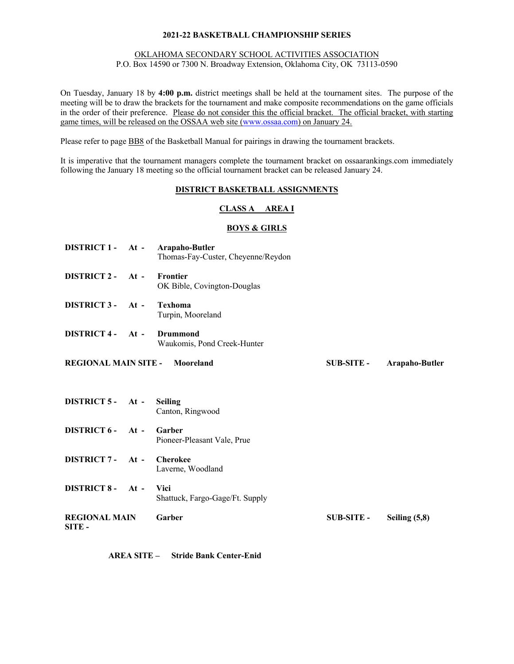## OKLAHOMA SECONDARY SCHOOL ACTIVITIES ASSOCIATION

P.O. Box 14590 or 7300 N. Broadway Extension, Oklahoma City, OK 73113-0590

On Tuesday, January 18 by **4:00 p.m.** district meetings shall be held at the tournament sites. The purpose of the meeting will be to draw the brackets for the tournament and make composite recommendations on the game officials in the order of their preference. Please do not consider this the official bracket. The official bracket, with starting game times, will be released on the OSSAA web site (www.ossaa.com) on January 24.

Please refer to page **BB8** of the Basketball Manual for pairings in drawing the tournament brackets.

It is imperative that the tournament managers complete the tournament bracket on ossaarankings.com immediately following the January 18 meeting so the official tournament bracket can be released January 24.

## **DISTRICT BASKETBALL ASSIGNMENTS**

## **CLASS A AREA I**

## **BOYS & GIRLS**

| DISTRICT 1 - At - Arapaho-Butler      |        | Thomas-Fay-Custer, Cheyenne/Reydon      |                   |                 |
|---------------------------------------|--------|-----------------------------------------|-------------------|-----------------|
| DISTRICT 2 - At -                     |        | Frontier<br>OK Bible, Covington-Douglas |                   |                 |
| DISTRICT 3 - At -                     |        | <b>Texhoma</b><br>Turpin, Mooreland     |                   |                 |
| DISTRICT 4 - At -                     |        | Drummond<br>Waukomis, Pond Creek-Hunter |                   |                 |
| <b>REGIONAL MAIN SITE - Mooreland</b> |        |                                         | <b>SUB-SITE -</b> | Arapaho-Butler  |
|                                       |        |                                         |                   |                 |
| DISTRICT 5 - At -                     |        | <b>Seiling</b><br>Canton, Ringwood      |                   |                 |
| DISTRICT 6 - At -                     |        | Garber<br>Pioneer-Pleasant Vale, Prue   |                   |                 |
| <b>DISTRICT 7-</b>                    | $At -$ | <b>Cherokee</b><br>Laverne, Woodland    |                   |                 |
| DISTRICT 8- At -                      |        | Vici<br>Shattuck, Fargo-Gage/Ft. Supply |                   |                 |
| <b>REGIONAL MAIN</b><br>SITE-         |        | Garber                                  | <b>SUB-SITE -</b> | Seiling $(5,8)$ |

**AREA SITE – Stride Bank Center-Enid**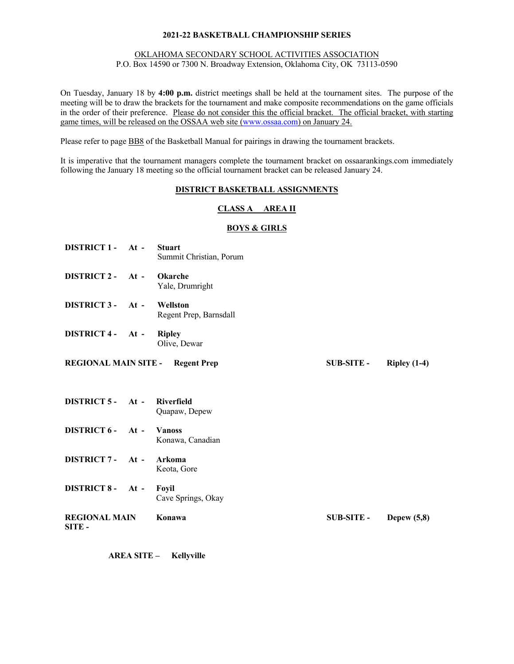## OKLAHOMA SECONDARY SCHOOL ACTIVITIES ASSOCIATION

P.O. Box 14590 or 7300 N. Broadway Extension, Oklahoma City, OK 73113-0590

On Tuesday, January 18 by **4:00 p.m.** district meetings shall be held at the tournament sites. The purpose of the meeting will be to draw the brackets for the tournament and make composite recommendations on the game officials in the order of their preference. Please do not consider this the official bracket. The official bracket, with starting game times, will be released on the OSSAA web site (www.ossaa.com) on January 24.

Please refer to page BB8 of the Basketball Manual for pairings in drawing the tournament brackets.

It is imperative that the tournament managers complete the tournament bracket on ossaarankings.com immediately following the January 18 meeting so the official tournament bracket can be released January 24.

## **DISTRICT BASKETBALL ASSIGNMENTS**

## **CLASS A AREA II**

## **BOYS & GIRLS**

- **DISTRICT 1 - At - Stuart** Summit Christian, Porum
- **DISTRICT 2 - At - Okarche** Yale, Drumright
- **DISTRICT 3 - At - Wellston**  Regent Prep, Barnsdall
- **DISTRICT 4 - At - Ripley** Olive, Dewar
- **REGIONAL MAIN SITE - Regent Prep SUB-SITE - Ripley (1-4)**

- **DISTRICT 5 - At - Riverfield** Quapaw, Depew
- **DISTRICT 6 - At - Vanoss** Konawa, Canadian
- **DISTRICT 7 - At - Arkoma**  Keota, Gore
- **DISTRICT 8 - At - Foyil** Cave Springs, Okay
- **REGIONAL MAIN SITE - Konawa SUB-SITE - Depew (5,8)**

**AREA SITE – Kellyville**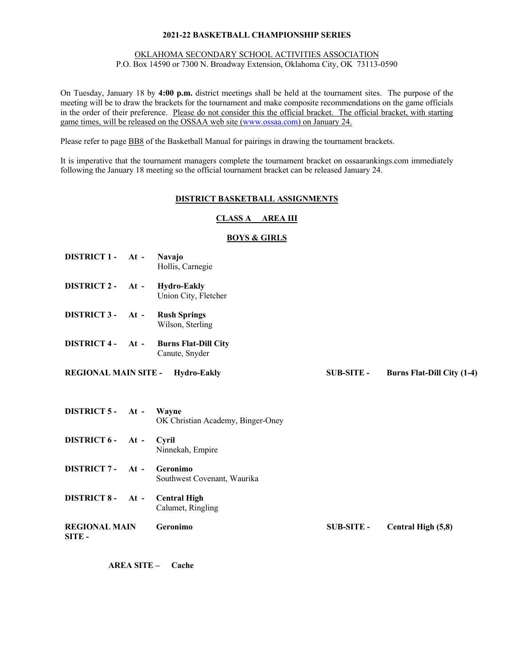## OKLAHOMA SECONDARY SCHOOL ACTIVITIES ASSOCIATION

P.O. Box 14590 or 7300 N. Broadway Extension, Oklahoma City, OK 73113-0590

On Tuesday, January 18 by **4:00 p.m.** district meetings shall be held at the tournament sites. The purpose of the meeting will be to draw the brackets for the tournament and make composite recommendations on the game officials in the order of their preference. Please do not consider this the official bracket. The official bracket, with starting game times, will be released on the OSSAA web site (www.ossaa.com) on January 24.

Please refer to page BB8 of the Basketball Manual for pairings in drawing the tournament brackets.

It is imperative that the tournament managers complete the tournament bracket on ossaarankings.com immediately following the January 18 meeting so the official tournament bracket can be released January 24.

### **DISTRICT BASKETBALL ASSIGNMENTS**

## **CLASS A AREA III**

## **BOYS & GIRLS**

- **DISTRICT 1 - At - Navajo** Hollis, Carnegie
- **DISTRICT 2 - At - Hydro-Eakly** Union City, Fletcher
- **DISTRICT 3 - At - Rush Springs** Wilson, Sterling
- **DISTRICT 4 - At - Burns Flat-Dill City** Canute, Snyder
- **REGIONAL MAIN SITE - Hydro-Eakly SUB-SITE - Burns Flat-Dill City (1-4)**

**DISTRICT 5 - At - Wayne** OK Christian Academy, Binger-Oney **DISTRICT 6 - At - Cyril** Ninnekah, Empire **DISTRICT 7 - At - Geronimo** Southwest Covenant, Waurika **DISTRICT 8 - At - Central High** Calumet, Ringling **REGIONAL MAIN SITE - Geronimo SUB-SITE - Central High (5,8)**

**AREA SITE – Cache**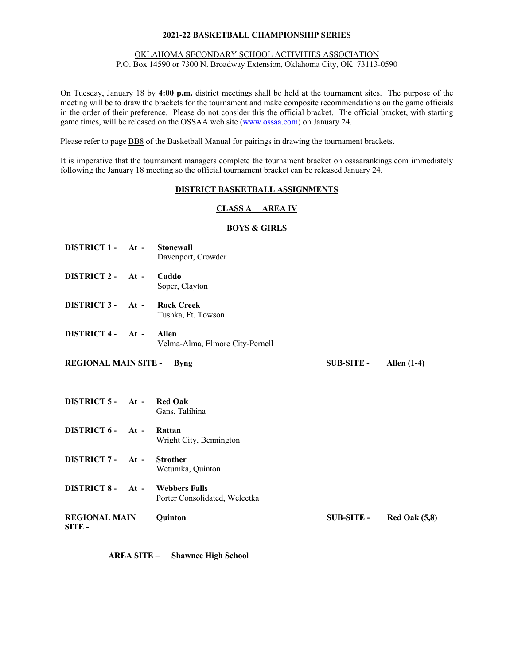## OKLAHOMA SECONDARY SCHOOL ACTIVITIES ASSOCIATION

P.O. Box 14590 or 7300 N. Broadway Extension, Oklahoma City, OK 73113-0590

On Tuesday, January 18 by **4:00 p.m.** district meetings shall be held at the tournament sites. The purpose of the meeting will be to draw the brackets for the tournament and make composite recommendations on the game officials in the order of their preference. Please do not consider this the official bracket. The official bracket, with starting game times, will be released on the OSSAA web site (www.ossaa.com) on January 24.

Please refer to page BB8 of the Basketball Manual for pairings in drawing the tournament brackets.

It is imperative that the tournament managers complete the tournament bracket on ossaarankings.com immediately following the January 18 meeting so the official tournament bracket can be released January 24.

## **DISTRICT BASKETBALL ASSIGNMENTS**

## **CLASS A AREA IV**

## **BOYS & GIRLS**

- **DISTRICT 1 - At - Stonewall** Davenport, Crowder
- **DISTRICT 2 - At - Caddo** Soper, Clayton
- **DISTRICT 3 - At - Rock Creek** Tushka, Ft. Towson
- **DISTRICT 4 - At - Allen** Velma-Alma, Elmore City-Pernell
- **REGIONAL MAIN SITE - Byng SUB-SITE - Allen (1-4)**

- **DISTRICT 5 - At - Red Oak** Gans, Talihina
- **DISTRICT 6 - At - Rattan** Wright City, Bennington
- **DISTRICT 7 - At - Strother** Wetumka, Quinton
- **DISTRICT 8 - At - Webbers Falls** Porter Consolidated, Weleetka
- **REGIONAL MAIN SITE - Quinton SUB-SITE - Red Oak (5,8)**

**AREA SITE – Shawnee High School**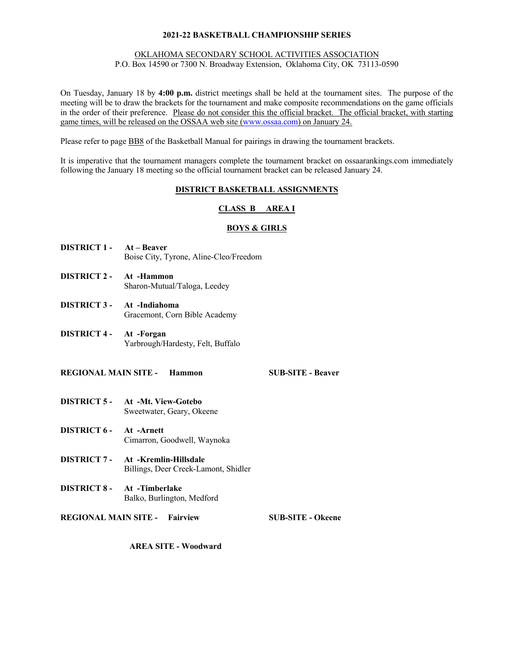### OKLAHOMA SECONDARY SCHOOL ACTIVITIES ASSOCIATION

P.O. Box 14590 or 7300 N. Broadway Extension, Oklahoma City, OK 73113-0590

On Tuesday, January 18 by **4:00 p.m.** district meetings shall be held at the tournament sites. The purpose of the meeting will be to draw the brackets for the tournament and make composite recommendations on the game officials in the order of their preference. Please do not consider this the official bracket. The official bracket, with starting game times, will be released on the OSSAA web site (www.ossaa.com) on January 24.

Please refer to page BB8 of the Basketball Manual for pairings in drawing the tournament brackets.

It is imperative that the tournament managers complete the tournament bracket on ossaarankings.com immediately following the January 18 meeting so the official tournament bracket can be released January 24.

## **DISTRICT BASKETBALL ASSIGNMENTS**

## **CLASS B AREA I**

## **BOYS & GIRLS**

- **DISTRICT 1 - At – Beaver** Boise City, Tyrone, Aline-Cleo/Freedom
- **DISTRICT 2 - At -Hammon** Sharon-Mutual/Taloga, Leedey
- **DISTRICT 3 - At -Indiahoma** Gracemont, Corn Bible Academy
- **DISTRICT 4 - At -Forgan** Yarbrough/Hardesty, Felt, Buffalo

### **REGIONAL MAIN SITE - Hammon SUB-SITE - Beaver**

- **DISTRICT 5 - At -Mt. View-Gotebo** Sweetwater, Geary, Okeene
- **DISTRICT 6 - At -Arnett** Cimarron, Goodwell, Waynoka
- **DISTRICT 7 - At -Kremlin-Hillsdale** Billings, Deer Creek-Lamont, Shidler
- **DISTRICT 8 - At -Timberlake** Balko, Burlington, Medford

## **REGIONAL MAIN SITE - Fairview SUB-SITE - Okeene**

**AREA SITE - Woodward**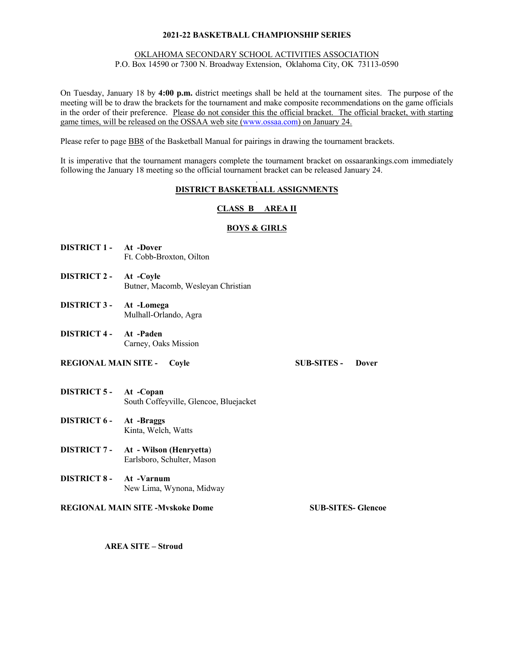### OKLAHOMA SECONDARY SCHOOL ACTIVITIES ASSOCIATION

P.O. Box 14590 or 7300 N. Broadway Extension, Oklahoma City, OK 73113-0590

On Tuesday, January 18 by **4:00 p.m.** district meetings shall be held at the tournament sites. The purpose of the meeting will be to draw the brackets for the tournament and make composite recommendations on the game officials in the order of their preference. Please do not consider this the official bracket. The official bracket, with starting game times, will be released on the OSSAA web site (www.ossaa.com) on January 24.

Please refer to page BB8 of the Basketball Manual for pairings in drawing the tournament brackets.

It is imperative that the tournament managers complete the tournament bracket on ossaarankings.com immediately following the January 18 meeting so the official tournament bracket can be released January 24.

#### . **DISTRICT BASKETBALL ASSIGNMENTS**

## **CLASS B AREA II**

## **BOYS & GIRLS**

- **DISTRICT 1 - At -Dover** Ft. Cobb-Broxton, Oilton
- **DISTRICT 2 - At -Coyle** Butner, Macomb, Wesleyan Christian
- **DISTRICT 3 - At -Lomega** Mulhall-Orlando, Agra
- **DISTRICT 4 - At -Paden** Carney, Oaks Mission
- **REGIONAL MAIN SITE - Coyle SUB-SITES - Dover**

- **DISTRICT 5 - At -Copan** South Coffeyville, Glencoe, Bluejacket
- **DISTRICT 6 - At -Braggs** Kinta, Welch, Watts
- **DISTRICT 7 - At - Wilson (Henryetta**) Earlsboro, Schulter, Mason
- **DISTRICT 8 - At -Varnum** New Lima, Wynona, Midway
- **REGIONAL MAIN SITE -Mvskoke Dome SUB-SITES- Glencoe**

**AREA SITE – Stroud**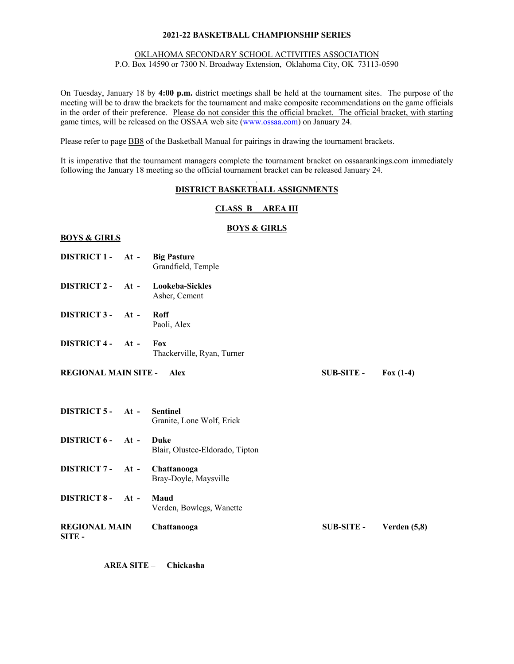### OKLAHOMA SECONDARY SCHOOL ACTIVITIES ASSOCIATION

P.O. Box 14590 or 7300 N. Broadway Extension, Oklahoma City, OK 73113-0590

On Tuesday, January 18 by **4:00 p.m.** district meetings shall be held at the tournament sites. The purpose of the meeting will be to draw the brackets for the tournament and make composite recommendations on the game officials in the order of their preference. Please do not consider this the official bracket. The official bracket, with starting game times, will be released on the OSSAA web site (www.ossaa.com) on January 24.

Please refer to page BB8 of the Basketball Manual for pairings in drawing the tournament brackets.

It is imperative that the tournament managers complete the tournament bracket on ossaarankings.com immediately following the January 18 meeting so the official tournament bracket can be released January 24.

#### . **DISTRICT BASKETBALL ASSIGNMENTS**

## **CLASS B AREA III**

## **BOYS & GIRLS**

### **BOYS & GIRLS**

- **DISTRICT 1 - At - Big Pasture** Grandfield, Temple
- **DISTRICT 2 - At - Lookeba-Sickles** Asher, Cement
- **DISTRICT 3 - At - Roff** Paoli, Alex
- **DISTRICT 4 - At - Fox** Thackerville, Ryan, Turner
- **REGIONAL MAIN SITE - Alex SUB-SITE - Fox (1-4)**

**DISTRICT 5 - At - Sentinel** Granite, Lone Wolf, Erick **DISTRICT 6 - At - Duke** Blair, Olustee-Eldorado, Tipton **DISTRICT 7 - At - Chattanooga** Bray-Doyle, Maysville **DISTRICT 8 - At - Maud** Verden, Bowlegs, Wanette **REGIONAL MAIN SITE - Chattanooga SUB-SITE - Verden (5,8)**

**AREA SITE – Chickasha**